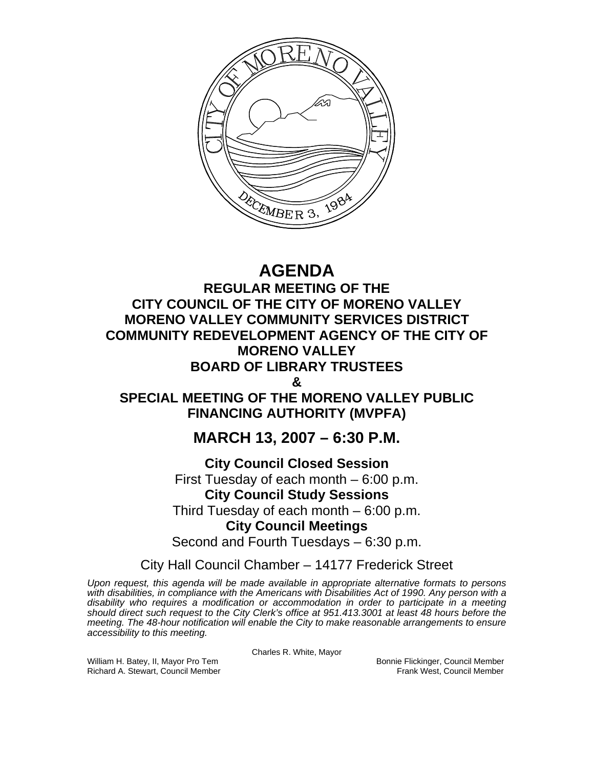

# **AGENDA**

**REGULAR MEETING OF THE CITY COUNCIL OF THE CITY OF MORENO VALLEY MORENO VALLEY COMMUNITY SERVICES DISTRICT COMMUNITY REDEVELOPMENT AGENCY OF THE CITY OF MORENO VALLEY BOARD OF LIBRARY TRUSTEES** 

**&** 

**SPECIAL MEETING OF THE MORENO VALLEY PUBLIC FINANCING AUTHORITY (MVPFA)** 

## **MARCH 13, 2007 – 6:30 P.M.**

## **City Council Closed Session**

First Tuesday of each month – 6:00 p.m.

## **City Council Study Sessions**

Third Tuesday of each month – 6:00 p.m.

## **City Council Meetings**

Second and Fourth Tuesdays – 6:30 p.m.

City Hall Council Chamber – 14177 Frederick Street

*Upon request, this agenda will be made available in appropriate alternative formats to persons with disabilities, in compliance with the Americans with Disabilities Act of 1990. Any person with a disability who requires a modification or accommodation in order to participate in a meeting should direct such request to the City Clerk's office at 951.413.3001 at least 48 hours before the meeting. The 48-hour notification will enable the City to make reasonable arrangements to ensure accessibility to this meeting.* 

Charles R. White, Mayor

William H. Batey, II, Mayor Pro Tem Bonnie Flickinger, Council Member<br>Richard A. Stewart, Council Member Bonnie Frank West, Council Member Richard A. Stewart, Council Member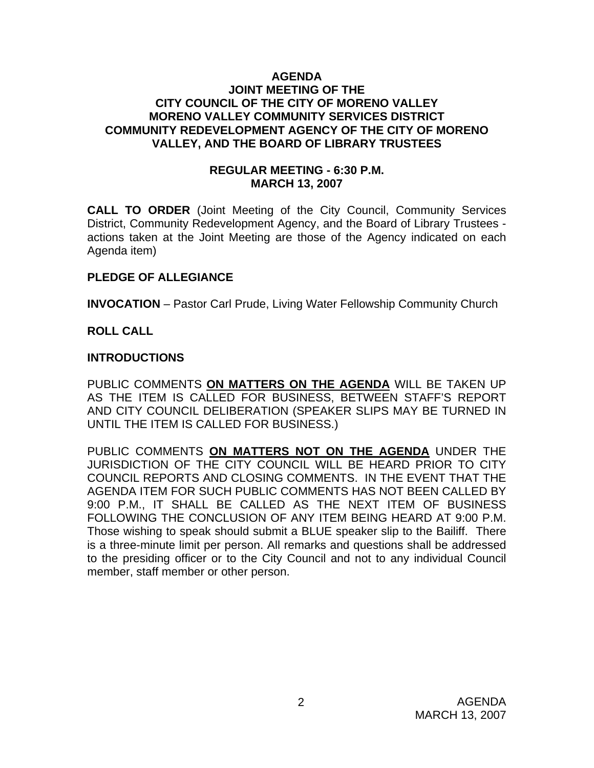## **AGENDA JOINT MEETING OF THE CITY COUNCIL OF THE CITY OF MORENO VALLEY MORENO VALLEY COMMUNITY SERVICES DISTRICT COMMUNITY REDEVELOPMENT AGENCY OF THE CITY OF MORENO VALLEY, AND THE BOARD OF LIBRARY TRUSTEES**

## **REGULAR MEETING - 6:30 P.M. MARCH 13, 2007**

**CALL TO ORDER** (Joint Meeting of the City Council, Community Services District, Community Redevelopment Agency, and the Board of Library Trustees actions taken at the Joint Meeting are those of the Agency indicated on each Agenda item)

## **PLEDGE OF ALLEGIANCE**

**INVOCATION** – Pastor Carl Prude, Living Water Fellowship Community Church

## **ROLL CALL**

## **INTRODUCTIONS**

PUBLIC COMMENTS **ON MATTERS ON THE AGENDA** WILL BE TAKEN UP AS THE ITEM IS CALLED FOR BUSINESS, BETWEEN STAFF'S REPORT AND CITY COUNCIL DELIBERATION (SPEAKER SLIPS MAY BE TURNED IN UNTIL THE ITEM IS CALLED FOR BUSINESS.)

PUBLIC COMMENTS **ON MATTERS NOT ON THE AGENDA** UNDER THE JURISDICTION OF THE CITY COUNCIL WILL BE HEARD PRIOR TO CITY COUNCIL REPORTS AND CLOSING COMMENTS. IN THE EVENT THAT THE AGENDA ITEM FOR SUCH PUBLIC COMMENTS HAS NOT BEEN CALLED BY 9:00 P.M., IT SHALL BE CALLED AS THE NEXT ITEM OF BUSINESS FOLLOWING THE CONCLUSION OF ANY ITEM BEING HEARD AT 9:00 P.M. Those wishing to speak should submit a BLUE speaker slip to the Bailiff. There is a three-minute limit per person. All remarks and questions shall be addressed to the presiding officer or to the City Council and not to any individual Council member, staff member or other person.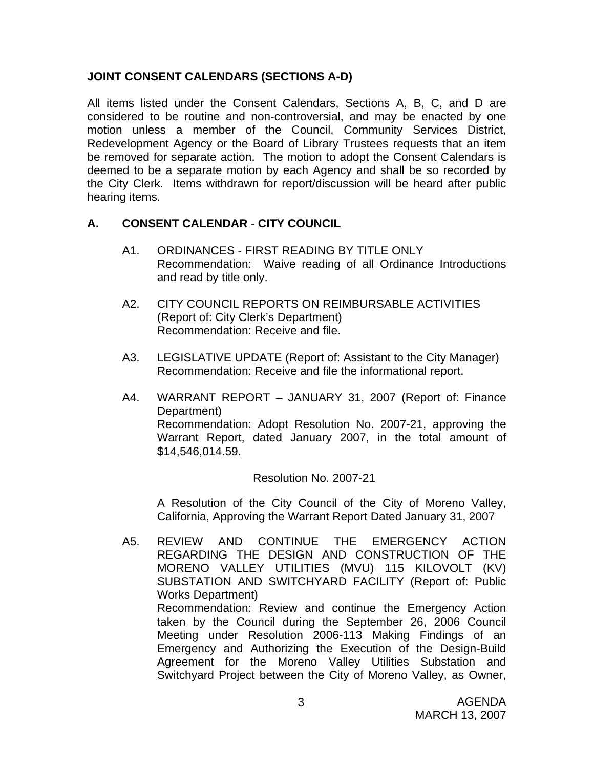## **JOINT CONSENT CALENDARS (SECTIONS A-D)**

All items listed under the Consent Calendars, Sections A, B, C, and D are considered to be routine and non-controversial, and may be enacted by one motion unless a member of the Council, Community Services District, Redevelopment Agency or the Board of Library Trustees requests that an item be removed for separate action. The motion to adopt the Consent Calendars is deemed to be a separate motion by each Agency and shall be so recorded by the City Clerk. Items withdrawn for report/discussion will be heard after public hearing items.

## **A. CONSENT CALENDAR** - **CITY COUNCIL**

- A1. ORDINANCES FIRST READING BY TITLE ONLY Recommendation: Waive reading of all Ordinance Introductions and read by title only.
- A2. CITY COUNCIL REPORTS ON REIMBURSABLE ACTIVITIES (Report of: City Clerk's Department) Recommendation: Receive and file.
- A3. LEGISLATIVE UPDATE (Report of: Assistant to the City Manager) Recommendation: Receive and file the informational report.
- A4. WARRANT REPORT JANUARY 31, 2007 (Report of: Finance Department) Recommendation: Adopt Resolution No. 2007-21, approving the Warrant Report, dated January 2007, in the total amount of \$14,546,014.59.

## Resolution No. 2007-21

A Resolution of the City Council of the City of Moreno Valley, California, Approving the Warrant Report Dated January 31, 2007

A5. REVIEW AND CONTINUE THE EMERGENCY ACTION REGARDING THE DESIGN AND CONSTRUCTION OF THE MORENO VALLEY UTILITIES (MVU) 115 KILOVOLT (KV) SUBSTATION AND SWITCHYARD FACILITY (Report of: Public Works Department) Recommendation: Review and continue the Emergency Action taken by the Council during the September 26, 2006 Council Meeting under Resolution 2006-113 Making Findings of an Emergency and Authorizing the Execution of the Design-Build Agreement for the Moreno Valley Utilities Substation and Switchyard Project between the City of Moreno Valley, as Owner,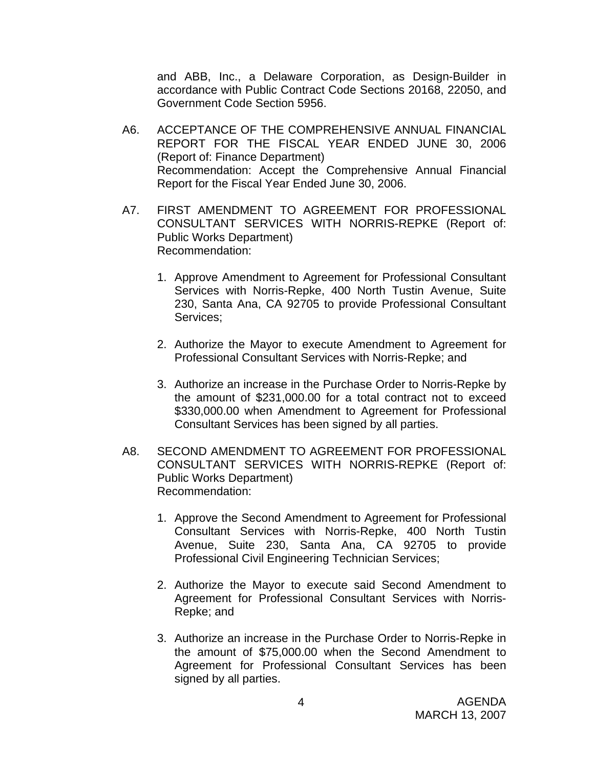and ABB, Inc., a Delaware Corporation, as Design-Builder in accordance with Public Contract Code Sections 20168, 22050, and Government Code Section 5956.

- A6. ACCEPTANCE OF THE COMPREHENSIVE ANNUAL FINANCIAL REPORT FOR THE FISCAL YEAR ENDED JUNE 30, 2006 (Report of: Finance Department) Recommendation: Accept the Comprehensive Annual Financial Report for the Fiscal Year Ended June 30, 2006.
- A7. FIRST AMENDMENT TO AGREEMENT FOR PROFESSIONAL CONSULTANT SERVICES WITH NORRIS-REPKE (Report of: Public Works Department) Recommendation:
	- 1. Approve Amendment to Agreement for Professional Consultant Services with Norris-Repke, 400 North Tustin Avenue, Suite 230, Santa Ana, CA 92705 to provide Professional Consultant Services;
	- 2. Authorize the Mayor to execute Amendment to Agreement for Professional Consultant Services with Norris-Repke; and
	- 3. Authorize an increase in the Purchase Order to Norris-Repke by the amount of \$231,000.00 for a total contract not to exceed \$330,000.00 when Amendment to Agreement for Professional Consultant Services has been signed by all parties.
- A8. SECOND AMENDMENT TO AGREEMENT FOR PROFESSIONAL CONSULTANT SERVICES WITH NORRIS-REPKE (Report of: Public Works Department) Recommendation:
	- 1. Approve the Second Amendment to Agreement for Professional Consultant Services with Norris-Repke, 400 North Tustin Avenue, Suite 230, Santa Ana, CA 92705 to provide Professional Civil Engineering Technician Services;
	- 2. Authorize the Mayor to execute said Second Amendment to Agreement for Professional Consultant Services with Norris-Repke; and
	- 3. Authorize an increase in the Purchase Order to Norris-Repke in the amount of \$75,000.00 when the Second Amendment to Agreement for Professional Consultant Services has been signed by all parties.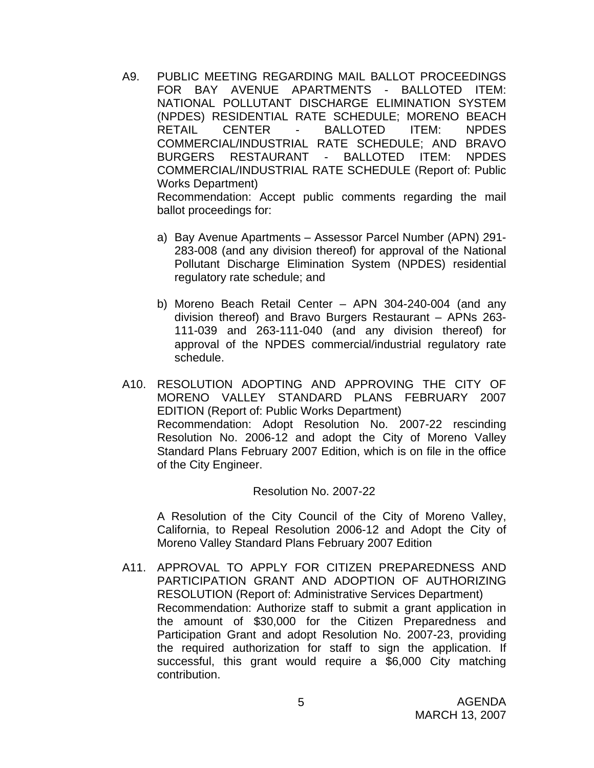- A9. PUBLIC MEETING REGARDING MAIL BALLOT PROCEEDINGS FOR BAY AVENUE APARTMENTS - BALLOTED ITEM: NATIONAL POLLUTANT DISCHARGE ELIMINATION SYSTEM (NPDES) RESIDENTIAL RATE SCHEDULE; MORENO BEACH CENTER - BALLOTED ITEM: NPDES COMMERCIAL/INDUSTRIAL RATE SCHEDULE; AND BRAVO BURGERS RESTAURANT - BALLOTED ITEM: NPDES COMMERCIAL/INDUSTRIAL RATE SCHEDULE (Report of: Public Works Department) Recommendation: Accept public comments regarding the mail ballot proceedings for:
	- a) Bay Avenue Apartments Assessor Parcel Number (APN) 291- 283-008 (and any division thereof) for approval of the National Pollutant Discharge Elimination System (NPDES) residential regulatory rate schedule; and
	- b) Moreno Beach Retail Center APN 304-240-004 (and any division thereof) and Bravo Burgers Restaurant – APNs 263- 111-039 and 263-111-040 (and any division thereof) for approval of the NPDES commercial/industrial regulatory rate schedule.
- A10. RESOLUTION ADOPTING AND APPROVING THE CITY OF MORENO VALLEY STANDARD PLANS FEBRUARY 2007 EDITION (Report of: Public Works Department) Recommendation: Adopt Resolution No. 2007-22 rescinding Resolution No. 2006-12 and adopt the City of Moreno Valley Standard Plans February 2007 Edition, which is on file in the office of the City Engineer.

#### Resolution No. 2007-22

 A Resolution of the City Council of the City of Moreno Valley, California, to Repeal Resolution 2006-12 and Adopt the City of Moreno Valley Standard Plans February 2007 Edition

A11. APPROVAL TO APPLY FOR CITIZEN PREPAREDNESS AND PARTICIPATION GRANT AND ADOPTION OF AUTHORIZING RESOLUTION (Report of: Administrative Services Department) Recommendation: Authorize staff to submit a grant application in the amount of \$30,000 for the Citizen Preparedness and Participation Grant and adopt Resolution No. 2007-23, providing the required authorization for staff to sign the application. If successful, this grant would require a \$6,000 City matching contribution.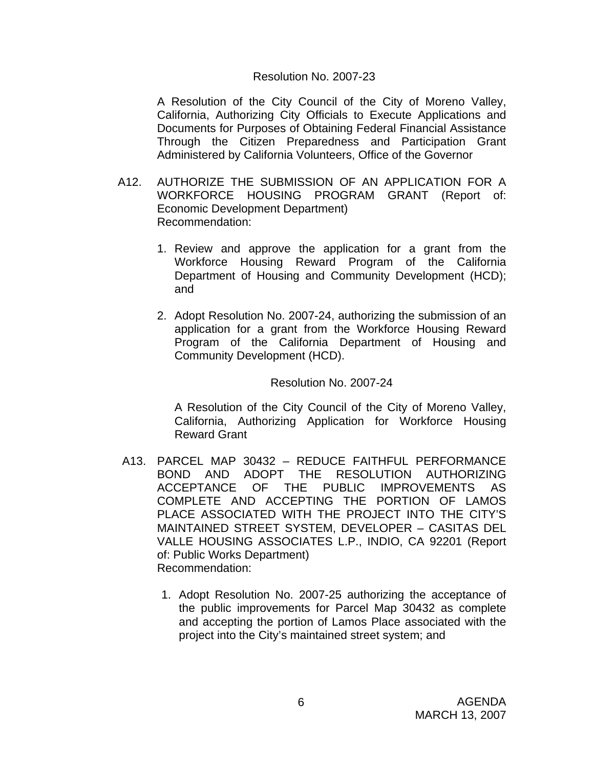#### Resolution No. 2007-23

A Resolution of the City Council of the City of Moreno Valley, California, Authorizing City Officials to Execute Applications and Documents for Purposes of Obtaining Federal Financial Assistance Through the Citizen Preparedness and Participation Grant Administered by California Volunteers, Office of the Governor

- A12. AUTHORIZE THE SUBMISSION OF AN APPLICATION FOR A WORKFORCE HOUSING PROGRAM GRANT (Report of: Economic Development Department) Recommendation:
	- 1. Review and approve the application for a grant from the Workforce Housing Reward Program of the California Department of Housing and Community Development (HCD); and
	- 2. Adopt Resolution No. 2007-24, authorizing the submission of an application for a grant from the Workforce Housing Reward Program of the California Department of Housing and Community Development (HCD).

#### Resolution No. 2007-24

A Resolution of the City Council of the City of Moreno Valley, California, Authorizing Application for Workforce Housing Reward Grant

- A13. PARCEL MAP 30432 REDUCE FAITHFUL PERFORMANCE BOND AND ADOPT THE RESOLUTION AUTHORIZING ACCEPTANCE OF THE PUBLIC IMPROVEMENTS AS COMPLETE AND ACCEPTING THE PORTION OF LAMOS PLACE ASSOCIATED WITH THE PROJECT INTO THE CITY'S MAINTAINED STREET SYSTEM, DEVELOPER – CASITAS DEL VALLE HOUSING ASSOCIATES L.P., INDIO, CA 92201 (Report of: Public Works Department) Recommendation:
	- 1. Adopt Resolution No. 2007-25 authorizing the acceptance of the public improvements for Parcel Map 30432 as complete and accepting the portion of Lamos Place associated with the project into the City's maintained street system; and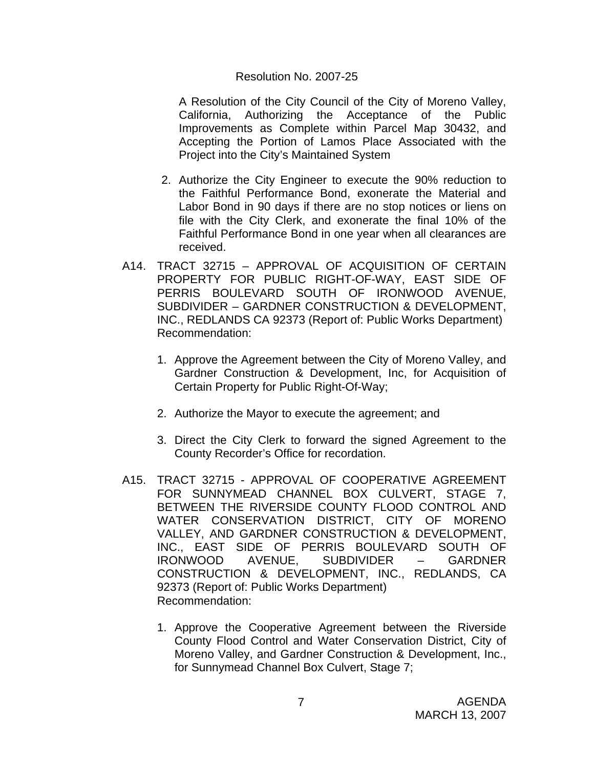#### Resolution No. 2007-25

 A Resolution of the City Council of the City of Moreno Valley, California, Authorizing the Acceptance of the Public Improvements as Complete within Parcel Map 30432, and Accepting the Portion of Lamos Place Associated with the Project into the City's Maintained System

- 2. Authorize the City Engineer to execute the 90% reduction to the Faithful Performance Bond, exonerate the Material and Labor Bond in 90 days if there are no stop notices or liens on file with the City Clerk, and exonerate the final 10% of the Faithful Performance Bond in one year when all clearances are received.
- A14. TRACT 32715 APPROVAL OF ACQUISITION OF CERTAIN PROPERTY FOR PUBLIC RIGHT-OF-WAY, EAST SIDE OF PERRIS BOULEVARD SOUTH OF IRONWOOD AVENUE, SUBDIVIDER – GARDNER CONSTRUCTION & DEVELOPMENT, INC., REDLANDS CA 92373 (Report of: Public Works Department) Recommendation:
	- 1. Approve the Agreement between the City of Moreno Valley, and Gardner Construction & Development, Inc, for Acquisition of Certain Property for Public Right-Of-Way;
	- 2. Authorize the Mayor to execute the agreement; and
	- 3. Direct the City Clerk to forward the signed Agreement to the County Recorder's Office for recordation.
- A15. TRACT 32715 APPROVAL OF COOPERATIVE AGREEMENT FOR SUNNYMEAD CHANNEL BOX CULVERT, STAGE 7. BETWEEN THE RIVERSIDE COUNTY FLOOD CONTROL AND WATER CONSERVATION DISTRICT, CITY OF MORENO VALLEY, AND GARDNER CONSTRUCTION & DEVELOPMENT, INC., EAST SIDE OF PERRIS BOULEVARD SOUTH OF IRONWOOD AVENUE, SUBDIVIDER – GARDNER CONSTRUCTION & DEVELOPMENT, INC., REDLANDS, CA 92373 (Report of: Public Works Department) Recommendation:
	- 1. Approve the Cooperative Agreement between the Riverside County Flood Control and Water Conservation District, City of Moreno Valley, and Gardner Construction & Development, Inc., for Sunnymead Channel Box Culvert, Stage 7;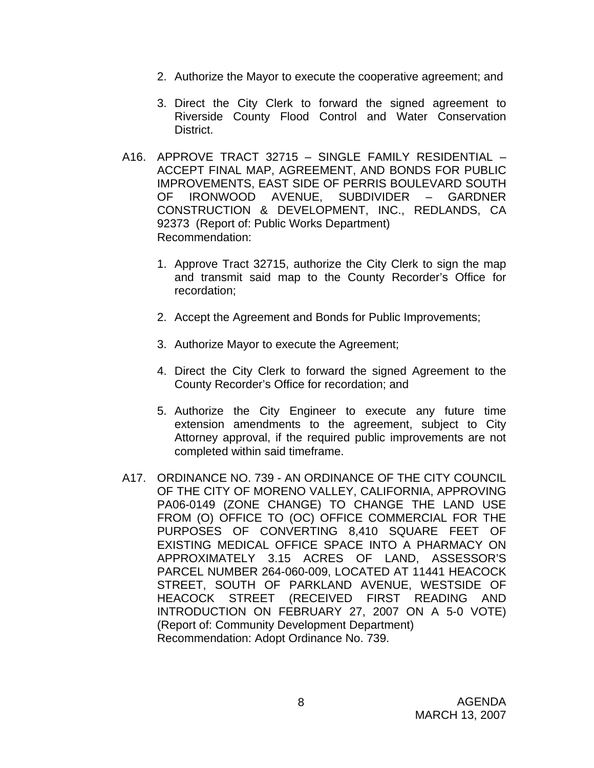- 2. Authorize the Mayor to execute the cooperative agreement; and
- 3. Direct the City Clerk to forward the signed agreement to Riverside County Flood Control and Water Conservation District.
- A16. APPROVE TRACT 32715 SINGLE FAMILY RESIDENTIAL ACCEPT FINAL MAP, AGREEMENT, AND BONDS FOR PUBLIC IMPROVEMENTS, EAST SIDE OF PERRIS BOULEVARD SOUTH OF IRONWOOD AVENUE, SUBDIVIDER – GARDNER CONSTRUCTION & DEVELOPMENT, INC., REDLANDS, CA 92373 (Report of: Public Works Department) Recommendation:
	- 1. Approve Tract 32715, authorize the City Clerk to sign the map and transmit said map to the County Recorder's Office for recordation;
	- 2. Accept the Agreement and Bonds for Public Improvements;
	- 3. Authorize Mayor to execute the Agreement;
	- 4. Direct the City Clerk to forward the signed Agreement to the County Recorder's Office for recordation; and
	- 5. Authorize the City Engineer to execute any future time extension amendments to the agreement, subject to City Attorney approval, if the required public improvements are not completed within said timeframe.
- A17. ORDINANCE NO. 739 AN ORDINANCE OF THE CITY COUNCIL OF THE CITY OF MORENO VALLEY, CALIFORNIA, APPROVING PA06-0149 (ZONE CHANGE) TO CHANGE THE LAND USE FROM (O) OFFICE TO (OC) OFFICE COMMERCIAL FOR THE PURPOSES OF CONVERTING 8,410 SQUARE FEET OF EXISTING MEDICAL OFFICE SPACE INTO A PHARMACY ON APPROXIMATELY 3.15 ACRES OF LAND, ASSESSOR'S PARCEL NUMBER 264-060-009, LOCATED AT 11441 HEACOCK STREET, SOUTH OF PARKLAND AVENUE, WESTSIDE OF HEACOCK STREET (RECEIVED FIRST READING AND INTRODUCTION ON FEBRUARY 27, 2007 ON A 5-0 VOTE) (Report of: Community Development Department) Recommendation: Adopt Ordinance No. 739.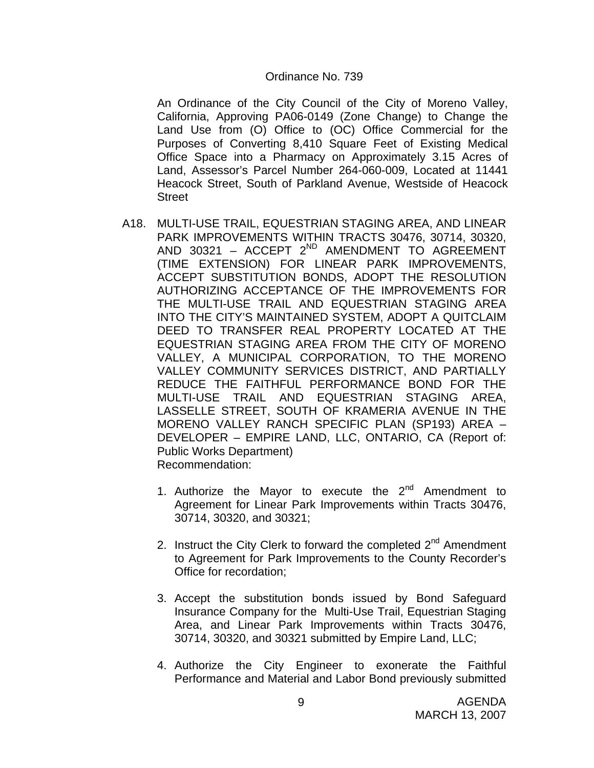#### Ordinance No. 739

An Ordinance of the City Council of the City of Moreno Valley, California, Approving PA06-0149 (Zone Change) to Change the Land Use from (O) Office to (OC) Office Commercial for the Purposes of Converting 8,410 Square Feet of Existing Medical Office Space into a Pharmacy on Approximately 3.15 Acres of Land, Assessor's Parcel Number 264-060-009, Located at 11441 Heacock Street, South of Parkland Avenue, Westside of Heacock **Street** 

- A18. MULTI-USE TRAIL, EQUESTRIAN STAGING AREA, AND LINEAR PARK IMPROVEMENTS WITHIN TRACTS 30476, 30714, 30320, AND 30321 – ACCEPT  $2^{ND}$  AMENDMENT TO AGREEMENT (TIME EXTENSION) FOR LINEAR PARK IMPROVEMENTS, ACCEPT SUBSTITUTION BONDS, ADOPT THE RESOLUTION AUTHORIZING ACCEPTANCE OF THE IMPROVEMENTS FOR THE MULTI-USE TRAIL AND EQUESTRIAN STAGING AREA INTO THE CITY'S MAINTAINED SYSTEM, ADOPT A QUITCLAIM DEED TO TRANSFER REAL PROPERTY LOCATED AT THE EQUESTRIAN STAGING AREA FROM THE CITY OF MORENO VALLEY, A MUNICIPAL CORPORATION, TO THE MORENO VALLEY COMMUNITY SERVICES DISTRICT, AND PARTIALLY REDUCE THE FAITHFUL PERFORMANCE BOND FOR THE MULTI-USE TRAIL AND EQUESTRIAN STAGING AREA, LASSELLE STREET, SOUTH OF KRAMERIA AVENUE IN THE MORENO VALLEY RANCH SPECIFIC PLAN (SP193) AREA – DEVELOPER – EMPIRE LAND, LLC, ONTARIO, CA (Report of: Public Works Department) Recommendation:
	- 1. Authorize the Mayor to execute the  $2^{nd}$  Amendment to Agreement for Linear Park Improvements within Tracts 30476, 30714, 30320, and 30321;
	- 2. Instruct the City Clerk to forward the completed  $2<sup>nd</sup>$  Amendment to Agreement for Park Improvements to the County Recorder's Office for recordation;
	- 3. Accept the substitution bonds issued by Bond Safeguard Insurance Company for the Multi-Use Trail, Equestrian Staging Area, and Linear Park Improvements within Tracts 30476, 30714, 30320, and 30321 submitted by Empire Land, LLC;
	- 4. Authorize the City Engineer to exonerate the Faithful Performance and Material and Labor Bond previously submitted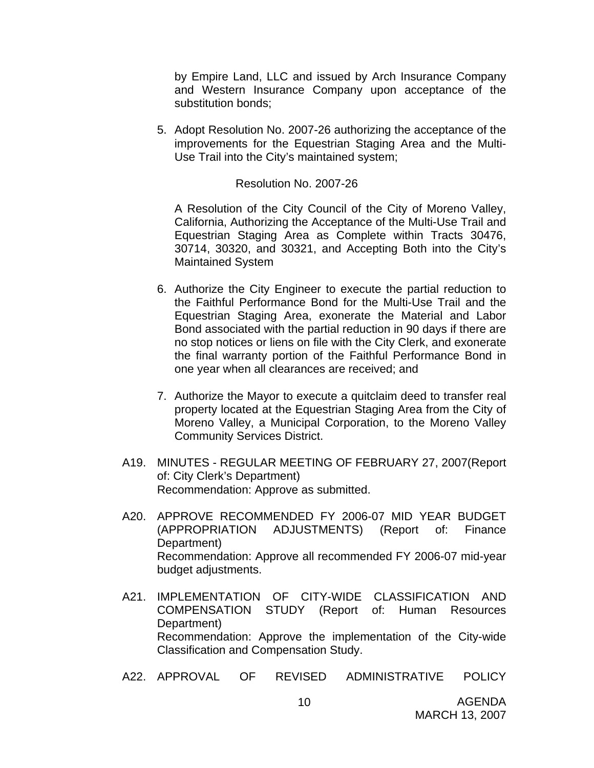by Empire Land, LLC and issued by Arch Insurance Company and Western Insurance Company upon acceptance of the substitution bonds;

5. Adopt Resolution No. 2007-26 authorizing the acceptance of the improvements for the Equestrian Staging Area and the Multi-Use Trail into the City's maintained system;

#### Resolution No. 2007-26

A Resolution of the City Council of the City of Moreno Valley, California, Authorizing the Acceptance of the Multi-Use Trail and Equestrian Staging Area as Complete within Tracts 30476, 30714, 30320, and 30321, and Accepting Both into the City's Maintained System

- 6. Authorize the City Engineer to execute the partial reduction to the Faithful Performance Bond for the Multi-Use Trail and the Equestrian Staging Area, exonerate the Material and Labor Bond associated with the partial reduction in 90 days if there are no stop notices or liens on file with the City Clerk, and exonerate the final warranty portion of the Faithful Performance Bond in one year when all clearances are received; and
- 7. Authorize the Mayor to execute a quitclaim deed to transfer real property located at the Equestrian Staging Area from the City of Moreno Valley, a Municipal Corporation, to the Moreno Valley Community Services District.
- A19. MINUTES REGULAR MEETING OF FEBRUARY 27, 2007(Report of: City Clerk's Department) Recommendation: Approve as submitted.
- A20. APPROVE RECOMMENDED FY 2006-07 MID YEAR BUDGET (APPROPRIATION ADJUSTMENTS) (Report of: Finance Department) Recommendation: Approve all recommended FY 2006-07 mid-year budget adjustments.
- A21. IMPLEMENTATION OF CITY-WIDE CLASSIFICATION AND COMPENSATION STUDY (Report of: Human Resources Department) Recommendation: Approve the implementation of the City-wide Classification and Compensation Study.
- A22. APPROVAL OF REVISED ADMINISTRATIVE POLICY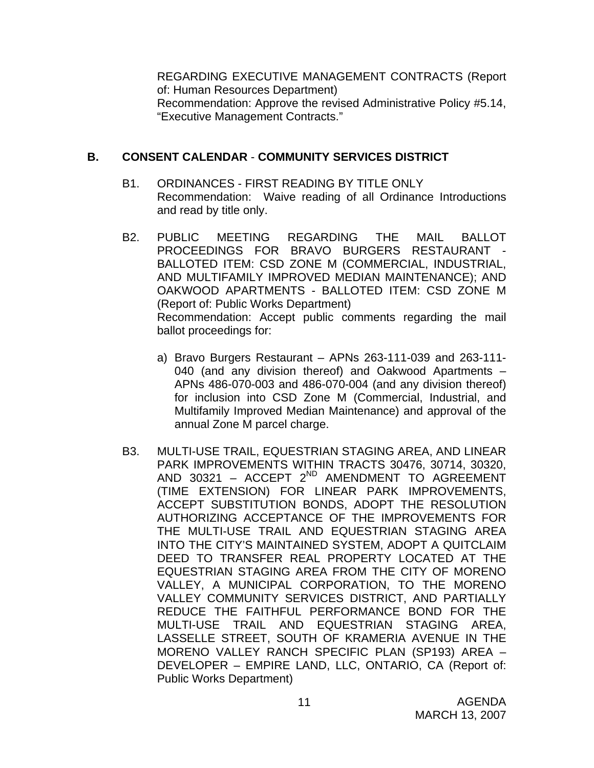REGARDING EXECUTIVE MANAGEMENT CONTRACTS (Report of: Human Resources Department) Recommendation: Approve the revised Administrative Policy #5.14, "Executive Management Contracts."

## **B. CONSENT CALENDAR** - **COMMUNITY SERVICES DISTRICT**

- B1. ORDINANCES FIRST READING BY TITLE ONLY Recommendation: Waive reading of all Ordinance Introductions and read by title only.
- B2. PUBLIC MEETING REGARDING THE MAIL BALLOT PROCEEDINGS FOR BRAVO BURGERS RESTAURANT BALLOTED ITEM: CSD ZONE M (COMMERCIAL, INDUSTRIAL, AND MULTIFAMILY IMPROVED MEDIAN MAINTENANCE); AND OAKWOOD APARTMENTS - BALLOTED ITEM: CSD ZONE M (Report of: Public Works Department) Recommendation: Accept public comments regarding the mail ballot proceedings for:
	- a) Bravo Burgers Restaurant APNs 263-111-039 and 263-111- 040 (and any division thereof) and Oakwood Apartments – APNs 486-070-003 and 486-070-004 (and any division thereof) for inclusion into CSD Zone M (Commercial, Industrial, and Multifamily Improved Median Maintenance) and approval of the annual Zone M parcel charge.
- B3. MULTI-USE TRAIL, EQUESTRIAN STAGING AREA, AND LINEAR PARK IMPROVEMENTS WITHIN TRACTS 30476, 30714, 30320, AND 30321 - ACCEPT 2<sup>ND</sup> AMENDMENT TO AGREEMENT (TIME EXTENSION) FOR LINEAR PARK IMPROVEMENTS, ACCEPT SUBSTITUTION BONDS, ADOPT THE RESOLUTION AUTHORIZING ACCEPTANCE OF THE IMPROVEMENTS FOR THE MULTI-USE TRAIL AND EQUESTRIAN STAGING AREA INTO THE CITY'S MAINTAINED SYSTEM, ADOPT A QUITCLAIM DEED TO TRANSFER REAL PROPERTY LOCATED AT THE EQUESTRIAN STAGING AREA FROM THE CITY OF MORENO VALLEY, A MUNICIPAL CORPORATION, TO THE MORENO VALLEY COMMUNITY SERVICES DISTRICT, AND PARTIALLY REDUCE THE FAITHFUL PERFORMANCE BOND FOR THE MULTI-USE TRAIL AND EQUESTRIAN STAGING AREA, LASSELLE STREET, SOUTH OF KRAMERIA AVENUE IN THE MORENO VALLEY RANCH SPECIFIC PLAN (SP193) AREA – DEVELOPER – EMPIRE LAND, LLC, ONTARIO, CA (Report of: Public Works Department)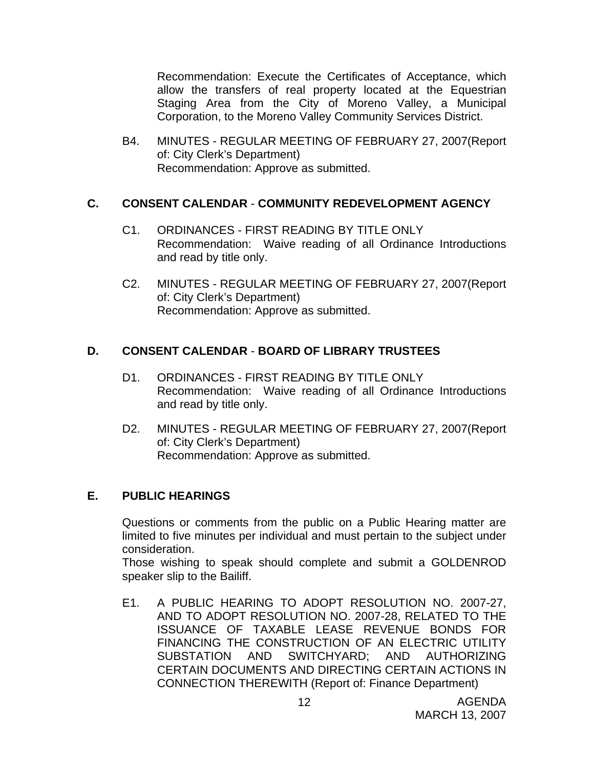Recommendation: Execute the Certificates of Acceptance, which allow the transfers of real property located at the Equestrian Staging Area from the City of Moreno Valley, a Municipal Corporation, to the Moreno Valley Community Services District.

B4. MINUTES - REGULAR MEETING OF FEBRUARY 27, 2007(Report of: City Clerk's Department) Recommendation: Approve as submitted.

## **C. CONSENT CALENDAR** - **COMMUNITY REDEVELOPMENT AGENCY**

- C1. ORDINANCES FIRST READING BY TITLE ONLY Recommendation: Waive reading of all Ordinance Introductions and read by title only.
- C2. MINUTES REGULAR MEETING OF FEBRUARY 27, 2007(Report of: City Clerk's Department) Recommendation: Approve as submitted.

## **D. CONSENT CALENDAR** - **BOARD OF LIBRARY TRUSTEES**

- D1. ORDINANCES FIRST READING BY TITLE ONLY Recommendation: Waive reading of all Ordinance Introductions and read by title only.
- D2. MINUTES REGULAR MEETING OF FEBRUARY 27, 2007(Report of: City Clerk's Department) Recommendation: Approve as submitted.

## **E. PUBLIC HEARINGS**

Questions or comments from the public on a Public Hearing matter are limited to five minutes per individual and must pertain to the subject under consideration.

 Those wishing to speak should complete and submit a GOLDENROD speaker slip to the Bailiff.

E1. A PUBLIC HEARING TO ADOPT RESOLUTION NO. 2007-27, AND TO ADOPT RESOLUTION NO. 2007-28, RELATED TO THE ISSUANCE OF TAXABLE LEASE REVENUE BONDS FOR FINANCING THE CONSTRUCTION OF AN ELECTRIC UTILITY SUBSTATION AND SWITCHYARD; AND AUTHORIZING CERTAIN DOCUMENTS AND DIRECTING CERTAIN ACTIONS IN CONNECTION THEREWITH (Report of: Finance Department)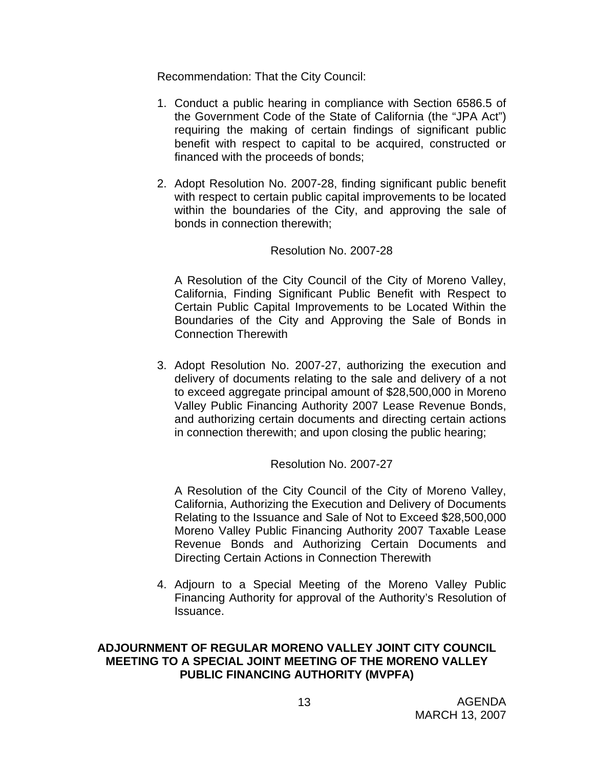Recommendation: That the City Council:

- 1. Conduct a public hearing in compliance with Section 6586.5 of the Government Code of the State of California (the "JPA Act") requiring the making of certain findings of significant public benefit with respect to capital to be acquired, constructed or financed with the proceeds of bonds;
- 2. Adopt Resolution No. 2007-28, finding significant public benefit with respect to certain public capital improvements to be located within the boundaries of the City, and approving the sale of bonds in connection therewith;

## Resolution No. 2007-28

A Resolution of the City Council of the City of Moreno Valley, California, Finding Significant Public Benefit with Respect to Certain Public Capital Improvements to be Located Within the Boundaries of the City and Approving the Sale of Bonds in Connection Therewith

3. Adopt Resolution No. 2007-27, authorizing the execution and delivery of documents relating to the sale and delivery of a not to exceed aggregate principal amount of \$28,500,000 in Moreno Valley Public Financing Authority 2007 Lease Revenue Bonds, and authorizing certain documents and directing certain actions in connection therewith; and upon closing the public hearing;

## Resolution No. 2007-27

A Resolution of the City Council of the City of Moreno Valley, California, Authorizing the Execution and Delivery of Documents Relating to the Issuance and Sale of Not to Exceed \$28,500,000 Moreno Valley Public Financing Authority 2007 Taxable Lease Revenue Bonds and Authorizing Certain Documents and Directing Certain Actions in Connection Therewith

4. Adjourn to a Special Meeting of the Moreno Valley Public Financing Authority for approval of the Authority's Resolution of Issuance.

#### **ADJOURNMENT OF REGULAR MORENO VALLEY JOINT CITY COUNCIL MEETING TO A SPECIAL JOINT MEETING OF THE MORENO VALLEY PUBLIC FINANCING AUTHORITY (MVPFA)**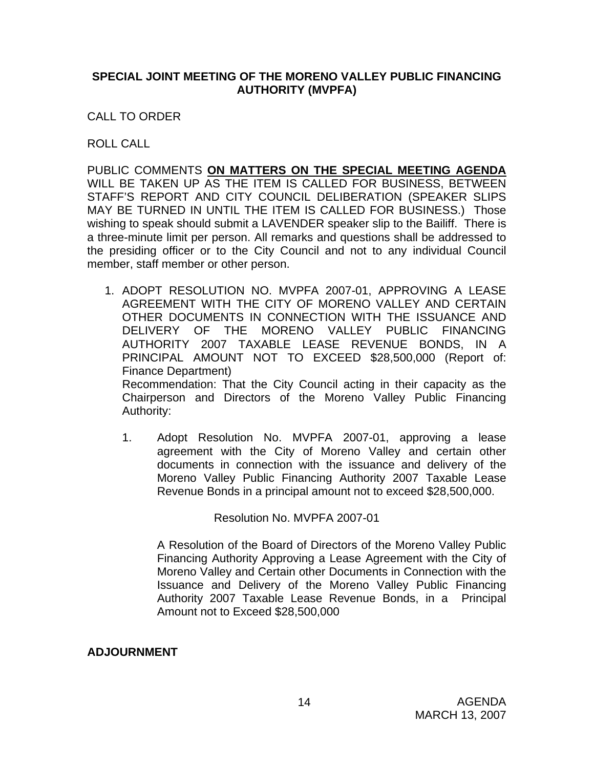## **SPECIAL JOINT MEETING OF THE MORENO VALLEY PUBLIC FINANCING AUTHORITY (MVPFA)**

CALL TO ORDER

ROLL CALL

PUBLIC COMMENTS **ON MATTERS ON THE SPECIAL MEETING AGENDA** WILL BE TAKEN UP AS THE ITEM IS CALLED FOR BUSINESS, BETWEEN STAFF'S REPORT AND CITY COUNCIL DELIBERATION (SPEAKER SLIPS MAY BE TURNED IN UNTIL THE ITEM IS CALLED FOR BUSINESS.) Those wishing to speak should submit a LAVENDER speaker slip to the Bailiff. There is a three-minute limit per person. All remarks and questions shall be addressed to the presiding officer or to the City Council and not to any individual Council member, staff member or other person.

1. ADOPT RESOLUTION NO. MVPFA 2007-01, APPROVING A LEASE AGREEMENT WITH THE CITY OF MORENO VALLEY AND CERTAIN OTHER DOCUMENTS IN CONNECTION WITH THE ISSUANCE AND DELIVERY OF THE MORENO VALLEY PUBLIC FINANCING AUTHORITY 2007 TAXABLE LEASE REVENUE BONDS, IN A PRINCIPAL AMOUNT NOT TO EXCEED \$28,500,000 (Report of: Finance Department) Recommendation: That the City Council acting in their capacity as the

Chairperson and Directors of the Moreno Valley Public Financing Authority:

1. Adopt Resolution No. MVPFA 2007-01, approving a lease agreement with the City of Moreno Valley and certain other documents in connection with the issuance and delivery of the Moreno Valley Public Financing Authority 2007 Taxable Lease Revenue Bonds in a principal amount not to exceed \$28,500,000.

Resolution No. MVPFA 2007-01

A Resolution of the Board of Directors of the Moreno Valley Public Financing Authority Approving a Lease Agreement with the City of Moreno Valley and Certain other Documents in Connection with the Issuance and Delivery of the Moreno Valley Public Financing Authority 2007 Taxable Lease Revenue Bonds, in a Principal Amount not to Exceed \$28,500,000

## **ADJOURNMENT**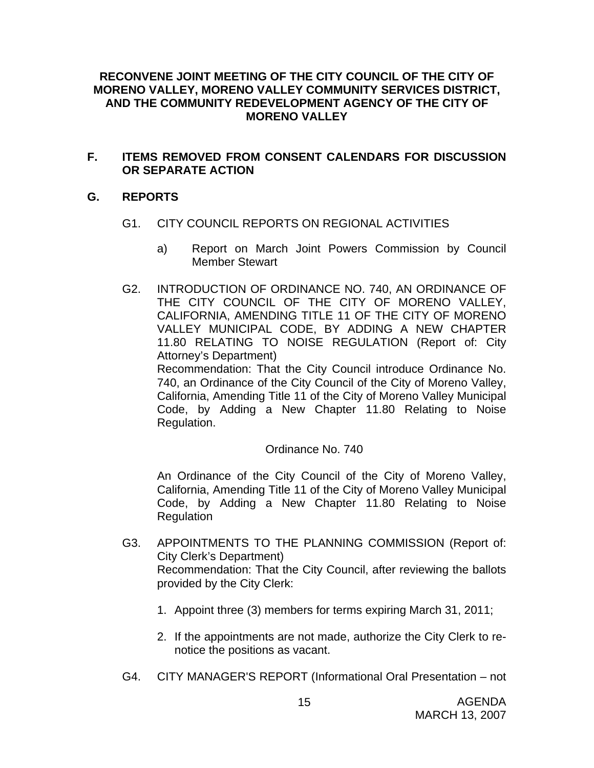## **RECONVENE JOINT MEETING OF THE CITY COUNCIL OF THE CITY OF MORENO VALLEY, MORENO VALLEY COMMUNITY SERVICES DISTRICT, AND THE COMMUNITY REDEVELOPMENT AGENCY OF THE CITY OF MORENO VALLEY**

## **F. ITEMS REMOVED FROM CONSENT CALENDARS FOR DISCUSSION OR SEPARATE ACTION**

## **G. REPORTS**

- G1. CITY COUNCIL REPORTS ON REGIONAL ACTIVITIES
	- a) Report on March Joint Powers Commission by Council Member Stewart
- G2. INTRODUCTION OF ORDINANCE NO. 740, AN ORDINANCE OF THE CITY COUNCIL OF THE CITY OF MORENO VALLEY, CALIFORNIA, AMENDING TITLE 11 OF THE CITY OF MORENO VALLEY MUNICIPAL CODE, BY ADDING A NEW CHAPTER 11.80 RELATING TO NOISE REGULATION (Report of: City Attorney's Department) Recommendation: That the City Council introduce Ordinance No.

740, an Ordinance of the City Council of the City of Moreno Valley, California, Amending Title 11 of the City of Moreno Valley Municipal Code, by Adding a New Chapter 11.80 Relating to Noise Regulation.

## Ordinance No. 740

An Ordinance of the City Council of the City of Moreno Valley, California, Amending Title 11 of the City of Moreno Valley Municipal Code, by Adding a New Chapter 11.80 Relating to Noise Regulation

- G3. APPOINTMENTS TO THE PLANNING COMMISSION (Report of: City Clerk's Department) Recommendation: That the City Council, after reviewing the ballots provided by the City Clerk:
	- 1. Appoint three (3) members for terms expiring March 31, 2011;
	- 2. If the appointments are not made, authorize the City Clerk to renotice the positions as vacant.
- G4. CITY MANAGER'S REPORT (Informational Oral Presentation not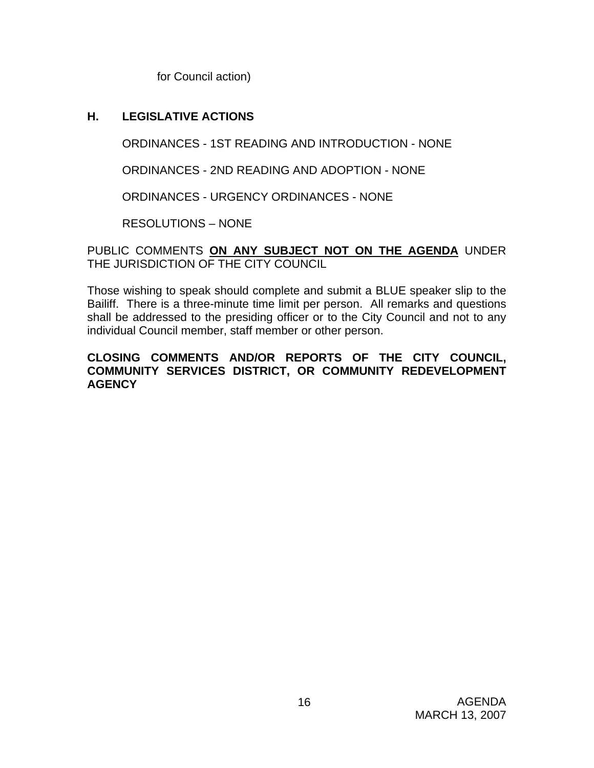for Council action)

## **H. LEGISLATIVE ACTIONS**

ORDINANCES - 1ST READING AND INTRODUCTION - NONE

ORDINANCES - 2ND READING AND ADOPTION - NONE

ORDINANCES - URGENCY ORDINANCES - NONE

RESOLUTIONS – NONE

PUBLIC COMMENTS **ON ANY SUBJECT NOT ON THE AGENDA** UNDER THE JURISDICTION OF THE CITY COUNCIL

Those wishing to speak should complete and submit a BLUE speaker slip to the Bailiff. There is a three-minute time limit per person. All remarks and questions shall be addressed to the presiding officer or to the City Council and not to any individual Council member, staff member or other person.

## **CLOSING COMMENTS AND/OR REPORTS OF THE CITY COUNCIL, COMMUNITY SERVICES DISTRICT, OR COMMUNITY REDEVELOPMENT AGENCY**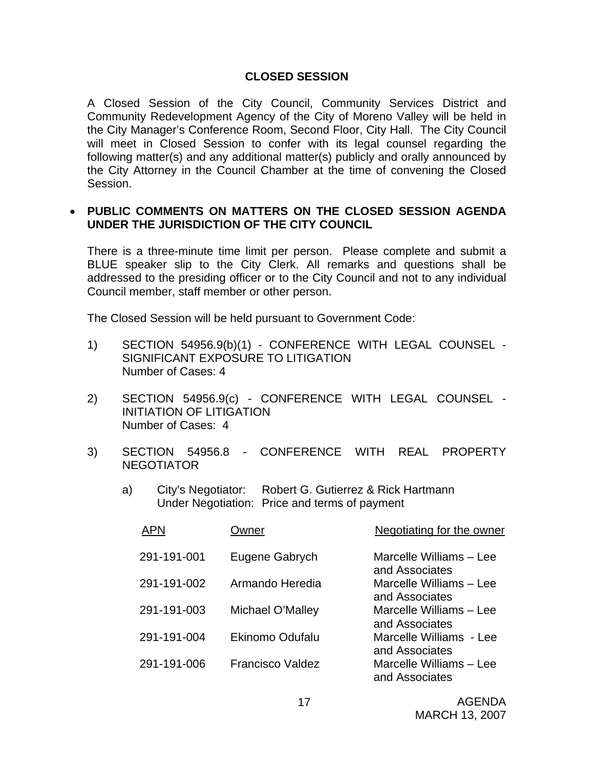## **CLOSED SESSION**

A Closed Session of the City Council, Community Services District and Community Redevelopment Agency of the City of Moreno Valley will be held in the City Manager's Conference Room, Second Floor, City Hall. The City Council will meet in Closed Session to confer with its legal counsel regarding the following matter(s) and any additional matter(s) publicly and orally announced by the City Attorney in the Council Chamber at the time of convening the Closed Session.

#### • **PUBLIC COMMENTS ON MATTERS ON THE CLOSED SESSION AGENDA UNDER THE JURISDICTION OF THE CITY COUNCIL**

There is a three-minute time limit per person. Please complete and submit a BLUE speaker slip to the City Clerk. All remarks and questions shall be addressed to the presiding officer or to the City Council and not to any individual Council member, staff member or other person.

The Closed Session will be held pursuant to Government Code:

- 1) SECTION 54956.9(b)(1) CONFERENCE WITH LEGAL COUNSEL SIGNIFICANT EXPOSURE TO LITIGATION Number of Cases: 4
- 2) SECTION 54956.9(c) CONFERENCE WITH LEGAL COUNSEL INITIATION OF LITIGATION Number of Cases: 4
- 3) SECTION 54956.8 CONFERENCE WITH REAL PROPERTY NEGOTIATOR
	- a) City's Negotiator: Robert G. Gutierrez & Rick Hartmann Under Negotiation: Price and terms of payment

| <b>APN</b>  | )wner                   | Negotiating for the owner                 |
|-------------|-------------------------|-------------------------------------------|
| 291-191-001 | Eugene Gabrych          | Marcelle Williams - Lee<br>and Associates |
| 291-191-002 | Armando Heredia         | Marcelle Williams - Lee<br>and Associates |
| 291-191-003 | Michael O'Malley        | Marcelle Williams - Lee<br>and Associates |
| 291-191-004 | Ekinomo Odufalu         | Marcelle Williams - Lee<br>and Associates |
| 291-191-006 | <b>Francisco Valdez</b> | Marcelle Williams - Lee<br>and Associates |